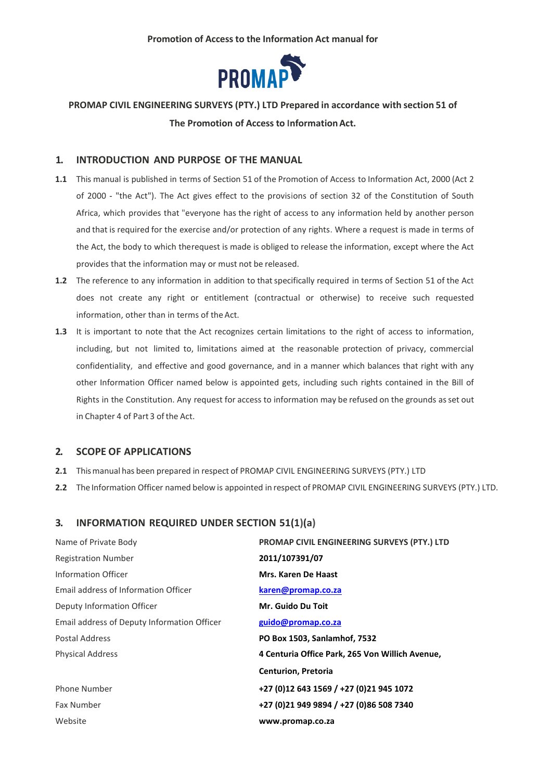

## **PROMAP CIVIL ENGINEERING SURVEYS (PTY.) LTD Prepared in accordance with section 51 of The Promotion of Access to InformationAct.**

#### **1. INTRODUCTION AND PURPOSE OF THE MANUAL**

- **1.1** This manual is published in terms of Section 51 of the Promotion of Access to Information Act, 2000 (Act 2 of 2000 - "the Act"). The Act gives effect to the provisions of section 32 of the Constitution of South Africa, which provides that "everyone has the right of access to any information held by another person and that is required for the exercise and/or protection of any rights. Where a request is made in terms of the Act, the body to which therequest is made is obliged to release the information, except where the Act provides that the information may or must not be released.
- **1.2** The reference to any information in addition to that specifically required in terms of Section 51 of the Act does not create any right or entitlement (contractual or otherwise) to receive such requested information, other than in terms of the Act.
- **1.3** It is important to note that the Act recognizes certain limitations to the right of access to information, including, but not limited to, limitations aimed at the reasonable protection of privacy, commercial confidentiality, and effective and good governance, and in a manner which balances that right with any other Information Officer named below is appointed gets, including such rights contained in the Bill of Rights in the Constitution. Any request for access to information may be refused on the grounds asset out in Chapter 4 of Part 3 of the Act.

### **2. SCOPE OF APPLICATIONS**

- **2.1** Thismanual has been prepared in respect of PROMAP CIVIL ENGINEERING SURVEYS (PTY.) LTD
- **2.2** The Information Officer named below is appointed in respect of PROMAP CIVIL ENGINEERING SURVEYS (PTY.) LTD.

### **3. INFORMATION REQUIRED UNDER SECTION 51(1)(a)**

| Name of Private Body                        | PROMAP CIVIL ENGINEERING SURVEYS (PTY.) LTD     |
|---------------------------------------------|-------------------------------------------------|
| <b>Registration Number</b>                  | 2011/107391/07                                  |
| Information Officer                         | Mrs. Karen De Haast                             |
| Email address of Information Officer        | karen@promap.co.za                              |
| Deputy Information Officer                  | Mr. Guido Du Toit                               |
| Email address of Deputy Information Officer | guido@promap.co.za                              |
| Postal Address                              | PO Box 1503, Sanlamhof, 7532                    |
| <b>Physical Address</b>                     | 4 Centuria Office Park, 265 Von Willich Avenue, |
|                                             | <b>Centurion, Pretoria</b>                      |
| Phone Number                                | +27 (0)12 643 1569 / +27 (0)21 945 1072         |
| Fax Number                                  | +27 (0)21 949 9894 / +27 (0)86 508 7340         |
| Website                                     | www.promap.co.za                                |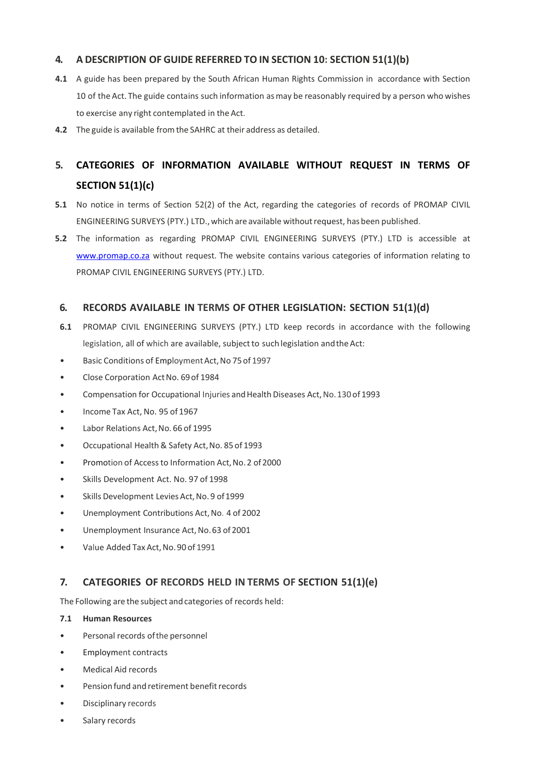## **4. A DESCRIPTION OF GUIDE REFERRED TO IN SECTION 10: SECTION 51(1)(b)**

- **4.1** A guide has been prepared by the South African Human Rights Commission in accordance with Section 10 of the Act. The guide contains such information asmay be reasonably required by a person who wishes to exercise any right contemplated in the Act.
- **4.2** The guide is available fromthe SAHRC at their address as detailed.

## **5. CATEGORIES OF INFORMATION AVAILABLE WITHOUT REQUEST IN TERMS OF SECTION 51(1)(c)**

- **5.1** No notice in terms of Section 52(2) of the Act, regarding the categories of records of PROMAP CIVIL ENGINEERING SURVEYS (PTY.) LTD.,which are available withoutrequest, hasbeen published.
- **5.2** The information as regarding PROMAP CIVIL ENGINEERING SURVEYS (PTY.) LTD is accessible at [www.promap.co.za](http://www.promap.co.za/) without request. The website contains various categories of information relating to PROMAP CIVIL ENGINEERING SURVEYS (PTY.) LTD.

## **6. RECORDS AVAILABLE IN TERMS OF OTHER LEGISLATION: SECTION 51(1)(d)**

- **6.1** PROMAP CIVIL ENGINEERING SURVEYS (PTY.) LTD keep records in accordance with the following legislation, all of which are available, subject to such legislation and the Act:
- Basic Conditions of EmploymentAct,No 75of 1997
- Close Corporation Act No. 69 of 1984
- Compensation for Occupational Injuries and Health Diseases Act, No. 130 of 1993
- Income Tax Act, No. 95 of 1967
- Labor Relations Act, No. 66 of 1995
- Occupational Health & Safety Act, No. 85 of 1993
- Promotion of Access to Information Act, No. 2 of 2000
- Skills Development Act. No. 97 of 1998
- Skills Development Levies Act, No. 9 of 1999
- Unemployment Contributions Act,No. 4 of 2002
- Unemployment Insurance Act, No.63 of 2001
- Value Added Tax Act, No. 90 of 1991

## **7. CATEGORIES OF RECORDS HELD IN TERMS OF SECTION 51(1)(e)**

The Following are the subject and categories of records held:

#### **7.1 Human Resources**

- Personal records ofthe personnel
- Employment contracts
- Medical Aid records
- Pension fund and retirement benefit records
- Disciplinary records
- Salary records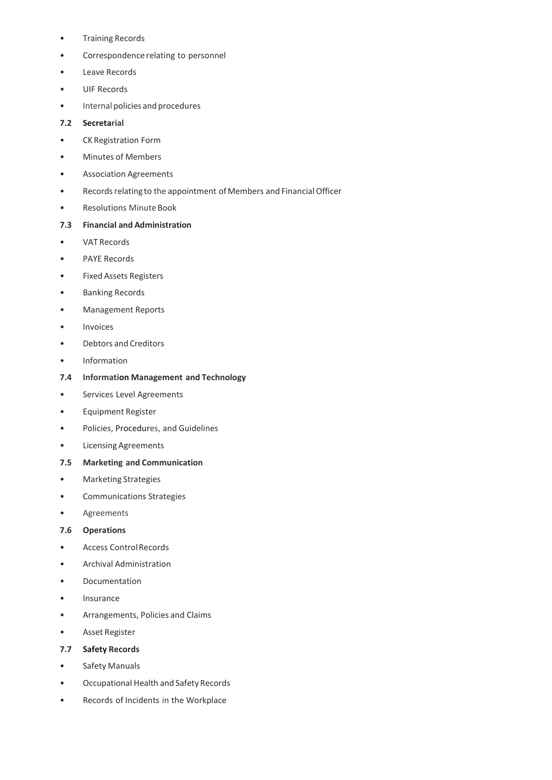- Training Records
- Correspondence relating to personnel
- Leave Records
- UIF Records
- Internal policies and procedures

#### **7.2 Secretarial**

- CK Registration Form
- Minutes of Members
- Association Agreements
- Records relating to the appointment of Members and Financial Officer
- Resolutions Minute Book

#### **7.3 Financial and Administration**

- VAT Records
- PAYE Records
- Fixed Assets Registers
- Banking Records
- Management Reports
- Invoices
- Debtors and Creditors
- Information

#### **7.4 Information Management and Technology**

- Services Level Agreements
- Equipment Register
- Policies, Procedures, and Guidelines
- Licensing Agreements
- **7.5 Marketing and Communication**
- Marketing Strategies
- Communications Strategies
- Agreements

#### **7.6 Operations**

- Access Control Records
- Archival Administration
- Documentation
- Insurance
- Arrangements, Policies and Claims
- Asset Register

#### **7.7 Safety Records**

- Safety Manuals
- Occupational Health and Safety Records
- Records of Incidents in the Workplace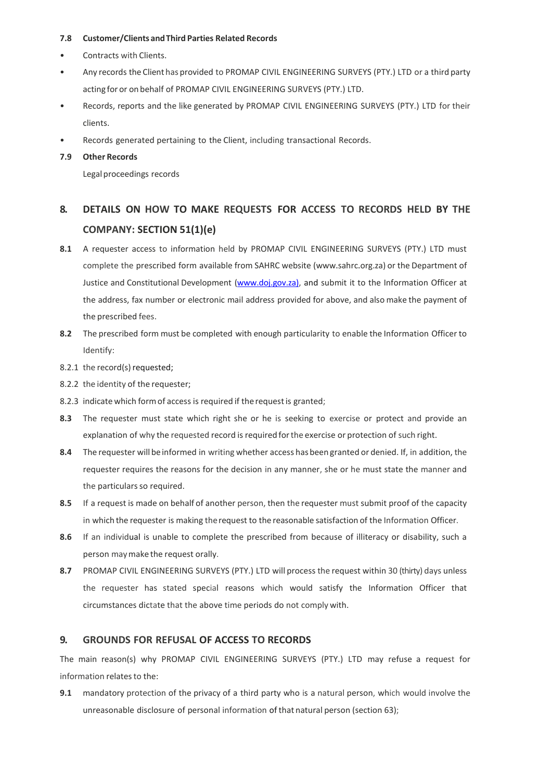#### **7.8 Customer/Clients andThird Parties Related Records**

- Contracts with Clients.
- Any records the Client has provided to PROMAP CIVIL ENGINEERING SURVEYS (PTY.) LTD or a third party acting for or on behalf of PROMAP CIVIL ENGINEERING SURVEYS (PTY.) LTD.
- Records, reports and the like generated by PROMAP CIVIL ENGINEERING SURVEYS (PTY.) LTD for their clients.
- Records generated pertaining to the Client, including transactional Records.

#### **7.9 Other Records**

Legal proceedings records

# **8. DETAILS ON HOW TO MAKE REQUESTS FOR ACCESS TO RECORDS HELD BY THE COMPANY: SECTION 51(1)(e)**

- **8.1** A requester access to information held by PROMAP CIVIL ENGINEERING SURVEYS (PTY.) LTD must complete the prescribed form available from SAHRC website (www.sahrc.org.za) or the Department of Justice and Constitutional Development [\(www.doj.gov.za\),](http://www.doj.gov.za)/) and submit it to the Information Officer at the address, fax number or electronic mail address provided for above, and also make the payment of the prescribed fees.
- **8.2** The prescribed form must be completed with enough particularity to enable the Information Officer to Identify:
- 8.2.1 the record(s) requested;
- 8.2.2 the identity of the requester;
- 8.2.3 indicate which formof access is required if therequestis granted;
- **8.3** The requester must state which right she or he is seeking to exercise or protect and provide an explanation of why the requested record is required forthe exercise or protection of such right.
- **8.4** The requester willbeinformed in writing whether access hasbeen granted or denied. If, in addition, the requester requires the reasons for the decision in any manner, she or he must state the manner and the particulars so required.
- **8.5** If a request is made on behalf of another person, then the requester must submit proof of the capacity in which the requester is making therequest to the reasonable satisfaction of the Information Officer.
- **8.6** If an individual is unable to complete the prescribed from because of illiteracy or disability, such a person maymake the request orally.
- **8.7** PROMAP CIVIL ENGINEERING SURVEYS (PTY.) LTD will process the request within 30 (thirty) days unless the requester has stated special reasons which would satisfy the Information Officer that circumstances dictate that the above time periods do not comply with.

## **9. GROUNDS FOR REFUSAL OF ACCESS TO RECORDS**

The main reason(s) why PROMAP CIVIL ENGINEERING SURVEYS (PTY.) LTD may refuse a request for information relates to the:

**9.1** mandatory protection of the privacy of a third party who is a natural person, which would involve the unreasonable disclosure of personal information of that natural person (section 63);